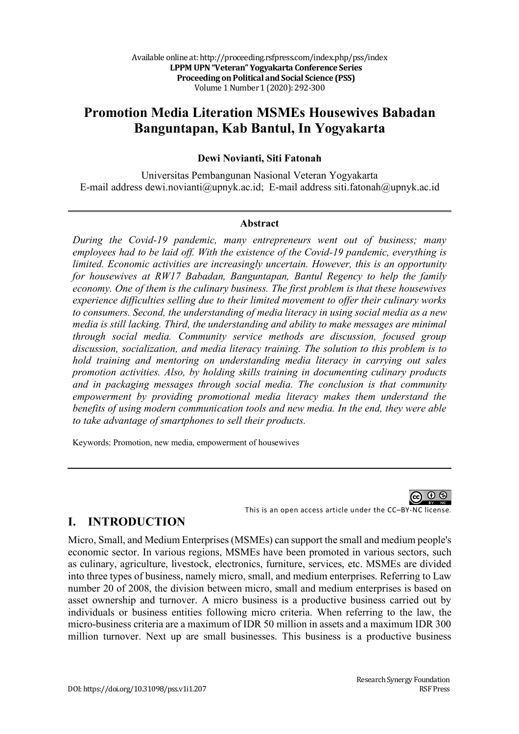# **Promotion Media Literation MSMEs Housewives Babadan Banguntapan, Kab Bantul, In Yogyakarta**

### **Dewi Novianti, Siti Fatonah**

Universitas Pembangunan Nasional Veteran Yogyakarta E-mail address dewi.novianti@upnyk.ac.id; E-mail address siti.fatonah@upnyk.ac.id

#### **Abstract**

*During the Covid-19 pandemic, many entrepreneurs went out of business; many employees had to be laid off. With the existence of the Covid-19 pandemic, everything is limited. Economic activities are increasingly uncertain. However, this is an opportunity for housewives at RW17 Babadan, Banguntapan, Bantul Regency to help the family economy. One of them is the culinary business. The first problem is that these housewives experience difficulties selling due to their limited movement to offer their culinary works to consumers. Second, the understanding of media literacy in using social media as a new media is still lacking. Third, the understanding and ability to make messages are minimal through social media. Community service methods are discussion, focused group discussion, socialization, and media literacy training. The solution to this problem is to hold training and mentoring on understanding media literacy in carrying out sales promotion activities. Also, by holding skills training in documenting culinary products and in packaging messages through social media. The conclusion is that community empowerment by providing promotional media literacy makes them understand the benefits of using modern communication tools and new media. In the end, they were able to take advantage of smartphones to sell their products.*

Keywords: Promotion, new media, empowerment of housewives

This is an open access article under the CC–BY-NC license.

# **I. INTRODUCTION**

Micro, Small, and Medium Enterprises (MSMEs) can support the small and medium people's economic sector. In various regions, MSMEs have been promoted in various sectors, such as culinary, agriculture, livestock, electronics, furniture, services, etc. MSMEs are divided into three types of business, namely micro, small, and medium enterprises. Referring to Law number 20 of 2008, the division between micro, small and medium enterprises is based on asset ownership and turnover. A micro business is a productive business carried out by individuals or business entities following micro criteria. When referring to the law, the micro-business criteria are a maximum of IDR 50 million in assets and a maximum IDR 300 million turnover. Next up are small businesses. This business is a productive business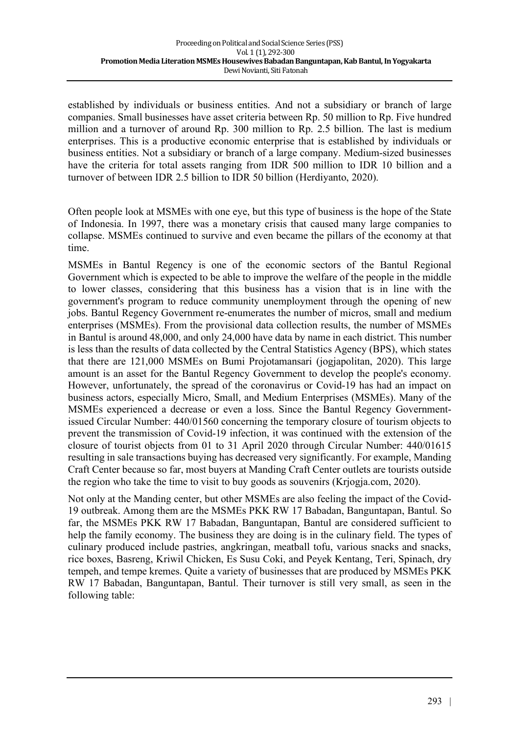established by individuals or business entities. And not a subsidiary or branch of large companies. Small businesses have asset criteria between Rp. 50 million to Rp. Five hundred million and a turnover of around Rp. 300 million to Rp. 2.5 billion. The last is medium enterprises. This is a productive economic enterprise that is established by individuals or business entities. Not a subsidiary or branch of a large company. Medium-sized businesses have the criteria for total assets ranging from IDR 500 million to IDR 10 billion and a turnover of between IDR 2.5 billion to IDR 50 billion (Herdiyanto, 2020).

Often people look at MSMEs with one eye, but this type of business is the hope of the State of Indonesia. In 1997, there was a monetary crisis that caused many large companies to collapse. MSMEs continued to survive and even became the pillars of the economy at that time.

MSMEs in Bantul Regency is one of the economic sectors of the Bantul Regional Government which is expected to be able to improve the welfare of the people in the middle to lower classes, considering that this business has a vision that is in line with the government's program to reduce community unemployment through the opening of new jobs. Bantul Regency Government re-enumerates the number of micros, small and medium enterprises (MSMEs). From the provisional data collection results, the number of MSMEs in Bantul is around 48,000, and only 24,000 have data by name in each district. This number is less than the results of data collected by the Central Statistics Agency (BPS), which states that there are 121,000 MSMEs on Bumi Projotamansari (jogjapolitan, 2020). This large amount is an asset for the Bantul Regency Government to develop the people's economy. However, unfortunately, the spread of the coronavirus or Covid-19 has had an impact on business actors, especially Micro, Small, and Medium Enterprises (MSMEs). Many of the MSMEs experienced a decrease or even a loss. Since the Bantul Regency Governmentissued Circular Number: 440/01560 concerning the temporary closure of tourism objects to prevent the transmission of Covid-19 infection, it was continued with the extension of the closure of tourist objects from 01 to 31 April 2020 through Circular Number: 440/01615 resulting in sale transactions buying has decreased very significantly. For example, Manding Craft Center because so far, most buyers at Manding Craft Center outlets are tourists outside the region who take the time to visit to buy goods as souvenirs (Kriogia.com, 2020).

Not only at the Manding center, but other MSMEs are also feeling the impact of the Covid-19 outbreak. Among them are the MSMEs PKK RW 17 Babadan, Banguntapan, Bantul. So far, the MSMEs PKK RW 17 Babadan, Banguntapan, Bantul are considered sufficient to help the family economy. The business they are doing is in the culinary field. The types of culinary produced include pastries, angkringan, meatball tofu, various snacks and snacks, rice boxes, Basreng, Kriwil Chicken, Es Susu Coki, and Peyek Kentang, Teri, Spinach, dry tempeh, and tempe kremes. Quite a variety of businesses that are produced by MSMEs PKK RW 17 Babadan, Banguntapan, Bantul. Their turnover is still very small, as seen in the following table: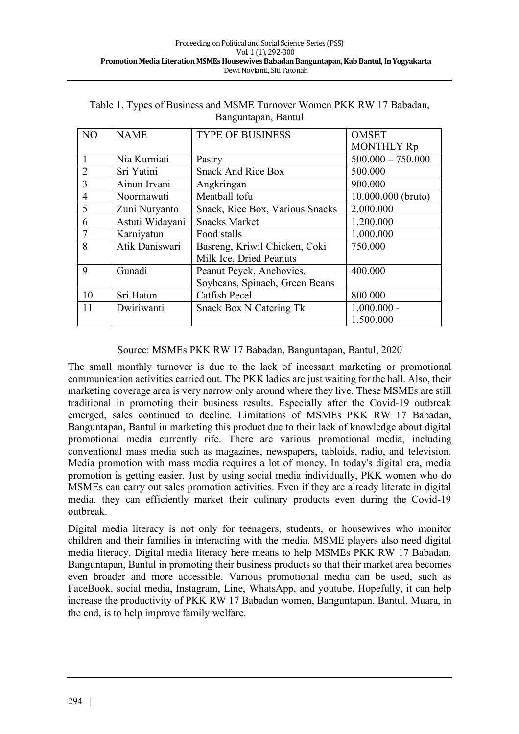| N <sub>O</sub> | <b>NAME</b>     | <b>TYPE OF BUSINESS</b>         | <b>OMSET</b>        |
|----------------|-----------------|---------------------------------|---------------------|
|                |                 |                                 | <b>MONTHLY Rp</b>   |
|                | Nia Kurniati    | Pastry                          | $500.000 - 750.000$ |
| $\overline{2}$ | Sri Yatini      | <b>Snack And Rice Box</b>       | 500.000             |
| 3              | Ainun Irvani    | Angkringan                      | 900.000             |
| $\overline{4}$ | Noormawati      | Meatball tofu                   | 10.000.000 (bruto)  |
| 5              | Zuni Nuryanto   | Snack, Rice Box, Various Snacks | 2.000.000           |
| 6              | Astuti Widayani | <b>Snacks Market</b>            | 1.200.000           |
| $\overline{7}$ | Karniyatun      | Food stalls                     | 1.000.000           |
| 8              | Atik Daniswari  | Basreng, Kriwil Chicken, Coki   | 750.000             |
|                |                 | Milk Ice, Dried Peanuts         |                     |
| 9              | Gunadi          | Peanut Peyek, Anchovies,        | 400.000             |
|                |                 | Soybeans, Spinach, Green Beans  |                     |
| 10             | Sri Hatun       | Catfish Pecel                   | 800.000             |
| 11             | Dwiriwanti      | <b>Snack Box N Catering Tk</b>  | $1.000.000 -$       |
|                |                 |                                 | 1.500.000           |

Table 1. Types of Business and MSME Turnover Women PKK RW 17 Babadan, Banguntapan, Bantul

#### Source: MSMEs PKK RW 17 Babadan, Banguntapan, Bantul, 2020

The small monthly turnover is due to the lack of incessant marketing or promotional communication activities carried out. The PKK ladies are just waiting for the ball. Also, their marketing coverage area is very narrow only around where they live. These MSMEs are still traditional in promoting their business results. Especially after the Covid-19 outbreak emerged, sales continued to decline. Limitations of MSMEs PKK RW 17 Babadan, Banguntapan, Bantul in marketing this product due to their lack of knowledge about digital promotional media currently rife. There are various promotional media, including conventional mass media such as magazines, newspapers, tabloids, radio, and television. Media promotion with mass media requires a lot of money. In today's digital era, media promotion is getting easier. Just by using social media individually, PKK women who do MSMEs can carry out sales promotion activities. Even if they are already literate in digital media, they can efficiently market their culinary products even during the Covid-19 outbreak.

Digital media literacy is not only for teenagers, students, or housewives who monitor children and their families in interacting with the media. MSME players also need digital media literacy. Digital media literacy here means to help MSMEs PKK RW 17 Babadan, Banguntapan, Bantul in promoting their business products so that their market area becomes even broader and more accessible. Various promotional media can be used, such as FaceBook, social media, Instagram, Line, WhatsApp, and youtube. Hopefully, it can help increase the productivity of PKK RW 17 Babadan women, Banguntapan, Bantul. Muara, in the end, is to help improve family welfare.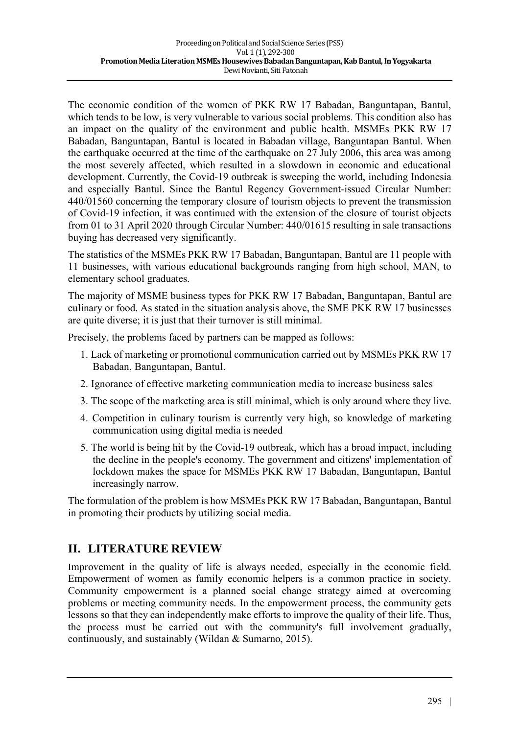The economic condition of the women of PKK RW 17 Babadan, Banguntapan, Bantul, which tends to be low, is very vulnerable to various social problems. This condition also has an impact on the quality of the environment and public health. MSMEs PKK RW 17 Babadan, Banguntapan, Bantul is located in Babadan village, Banguntapan Bantul. When the earthquake occurred at the time of the earthquake on 27 July 2006, this area was among the most severely affected, which resulted in a slowdown in economic and educational development. Currently, the Covid-19 outbreak is sweeping the world, including Indonesia and especially Bantul. Since the Bantul Regency Government-issued Circular Number: 440/01560 concerning the temporary closure of tourism objects to prevent the transmission of Covid-19 infection, it was continued with the extension of the closure of tourist objects from 01 to 31 April 2020 through Circular Number: 440/01615 resulting in sale transactions buying has decreased very significantly.

The statistics of the MSMEs PKK RW 17 Babadan, Banguntapan, Bantul are 11 people with 11 businesses, with various educational backgrounds ranging from high school, MAN, to elementary school graduates.

The majority of MSME business types for PKK RW 17 Babadan, Banguntapan, Bantul are culinary or food. As stated in the situation analysis above, the SME PKK RW 17 businesses are quite diverse; it is just that their turnover is still minimal.

Precisely, the problems faced by partners can be mapped as follows:

- 1. Lack of marketing or promotional communication carried out by MSMEs PKK RW 17 Babadan, Banguntapan, Bantul.
- 2. Ignorance of effective marketing communication media to increase business sales
- 3. The scope of the marketing area is still minimal, which is only around where they live.
- 4. Competition in culinary tourism is currently very high, so knowledge of marketing communication using digital media is needed
- 5. The world is being hit by the Covid-19 outbreak, which has a broad impact, including the decline in the people's economy. The government and citizens' implementation of lockdown makes the space for MSMEs PKK RW 17 Babadan, Banguntapan, Bantul increasingly narrow.

The formulation of the problem is how MSMEs PKK RW 17 Babadan, Banguntapan, Bantul in promoting their products by utilizing social media.

### **II. LITERATURE REVIEW**

Improvement in the quality of life is always needed, especially in the economic field. Empowerment of women as family economic helpers is a common practice in society. Community empowerment is a planned social change strategy aimed at overcoming problems or meeting community needs. In the empowerment process, the community gets lessons so that they can independently make efforts to improve the quality of their life. Thus, the process must be carried out with the community's full involvement gradually, continuously, and sustainably (Wildan & Sumarno, 2015).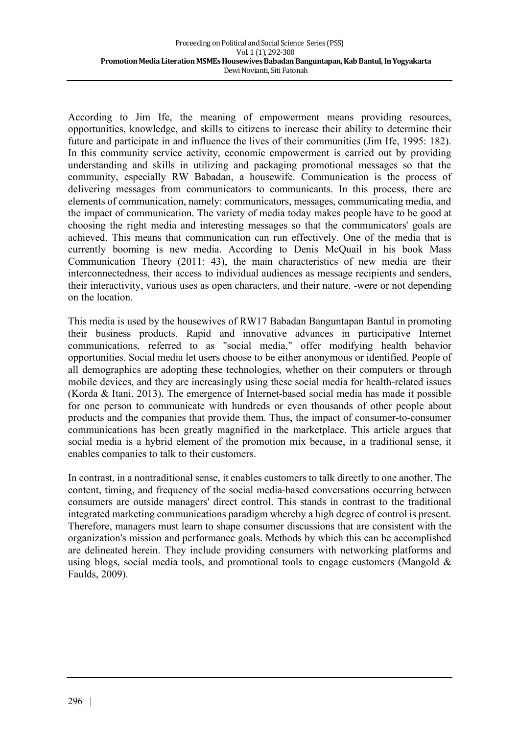According to Jim Ife, the meaning of empowerment means providing resources, opportunities, knowledge, and skills to citizens to increase their ability to determine their future and participate in and influence the lives of their communities (Jim Ife, 1995: 182). In this community service activity, economic empowerment is carried out by providing understanding and skills in utilizing and packaging promotional messages so that the community, especially RW Babadan, a housewife. Communication is the process of delivering messages from communicators to communicants. In this process, there are elements of communication, namely: communicators, messages, communicating media, and the impact of communication. The variety of media today makes people have to be good at choosing the right media and interesting messages so that the communicators' goals are achieved. This means that communication can run effectively. One of the media that is currently booming is new media. According to Denis McQuail in his book Mass Communication Theory (2011: 43), the main characteristics of new media are their interconnectedness, their access to individual audiences as message recipients and senders, their interactivity, various uses as open characters, and their nature. -were or not depending on the location.

This media is used by the housewives of RW17 Babadan Banguntapan Bantul in promoting their business products. Rapid and innovative advances in participative Internet communications, referred to as "social media," offer modifying health behavior opportunities. Social media let users choose to be either anonymous or identified. People of all demographics are adopting these technologies, whether on their computers or through mobile devices, and they are increasingly using these social media for health-related issues (Korda & Itani, 2013). The emergence of Internet-based social media has made it possible for one person to communicate with hundreds or even thousands of other people about products and the companies that provide them. Thus, the impact of consumer-to-consumer communications has been greatly magnified in the marketplace. This article argues that social media is a hybrid element of the promotion mix because, in a traditional sense, it enables companies to talk to their customers.

In contrast, in a nontraditional sense, it enables customers to talk directly to one another. The content, timing, and frequency of the social media-based conversations occurring between consumers are outside managers' direct control. This stands in contrast to the traditional integrated marketing communications paradigm whereby a high degree of control is present. Therefore, managers must learn to shape consumer discussions that are consistent with the organization's mission and performance goals. Methods by which this can be accomplished are delineated herein. They include providing consumers with networking platforms and using blogs, social media tools, and promotional tools to engage customers (Mangold & Faulds, 2009).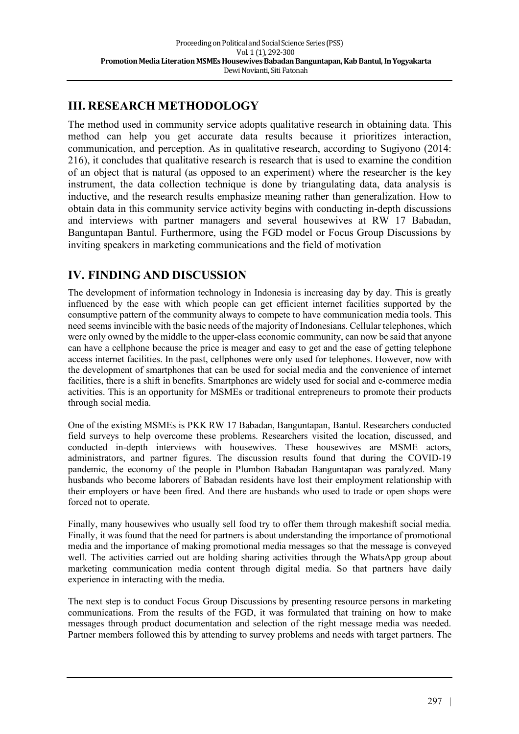# **III. RESEARCH METHODOLOGY**

The method used in community service adopts qualitative research in obtaining data. This method can help you get accurate data results because it prioritizes interaction, communication, and perception. As in qualitative research, according to Sugiyono (2014: 216), it concludes that qualitative research is research that is used to examine the condition of an object that is natural (as opposed to an experiment) where the researcher is the key instrument, the data collection technique is done by triangulating data, data analysis is inductive, and the research results emphasize meaning rather than generalization. How to obtain data in this community service activity begins with conducting in-depth discussions and interviews with partner managers and several housewives at RW 17 Babadan, Banguntapan Bantul. Furthermore, using the FGD model or Focus Group Discussions by inviting speakers in marketing communications and the field of motivation

# **IV. FINDING AND DISCUSSION**

The development of information technology in Indonesia is increasing day by day. This is greatly influenced by the ease with which people can get efficient internet facilities supported by the consumptive pattern of the community always to compete to have communication media tools. This need seems invincible with the basic needs of the majority of Indonesians. Cellular telephones, which were only owned by the middle to the upper-class economic community, can now be said that anyone can have a cellphone because the price is meager and easy to get and the ease of getting telephone access internet facilities. In the past, cellphones were only used for telephones. However, now with the development of smartphones that can be used for social media and the convenience of internet facilities, there is a shift in benefits. Smartphones are widely used for social and e-commerce media activities. This is an opportunity for MSMEs or traditional entrepreneurs to promote their products through social media.

One of the existing MSMEs is PKK RW 17 Babadan, Banguntapan, Bantul. Researchers conducted field surveys to help overcome these problems. Researchers visited the location, discussed, and conducted in-depth interviews with housewives. These housewives are MSME actors, administrators, and partner figures. The discussion results found that during the COVID-19 pandemic, the economy of the people in Plumbon Babadan Banguntapan was paralyzed. Many husbands who become laborers of Babadan residents have lost their employment relationship with their employers or have been fired. And there are husbands who used to trade or open shops were forced not to operate.

Finally, many housewives who usually sell food try to offer them through makeshift social media. Finally, it was found that the need for partners is about understanding the importance of promotional media and the importance of making promotional media messages so that the message is conveyed well. The activities carried out are holding sharing activities through the WhatsApp group about marketing communication media content through digital media. So that partners have daily experience in interacting with the media.

The next step is to conduct Focus Group Discussions by presenting resource persons in marketing communications. From the results of the FGD, it was formulated that training on how to make messages through product documentation and selection of the right message media was needed. Partner members followed this by attending to survey problems and needs with target partners. The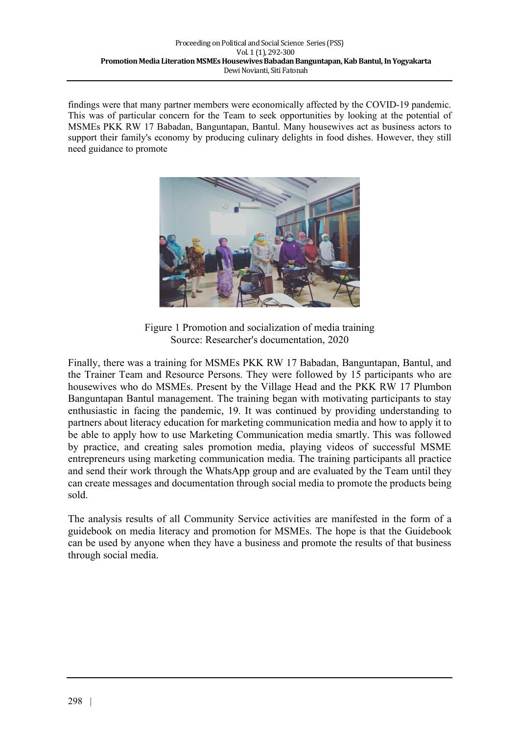findings were that many partner members were economically affected by the COVID-19 pandemic. This was of particular concern for the Team to seek opportunities by looking at the potential of MSMEs PKK RW 17 Babadan, Banguntapan, Bantul. Many housewives act as business actors to support their family's economy by producing culinary delights in food dishes. However, they still need guidance to promote



Figure 1 Promotion and socialization of media training Source: Researcher's documentation, 2020

Finally, there was a training for MSMEs PKK RW 17 Babadan, Banguntapan, Bantul, and the Trainer Team and Resource Persons. They were followed by 15 participants who are housewives who do MSMEs. Present by the Village Head and the PKK RW 17 Plumbon Banguntapan Bantul management. The training began with motivating participants to stay enthusiastic in facing the pandemic, 19. It was continued by providing understanding to partners about literacy education for marketing communication media and how to apply it to be able to apply how to use Marketing Communication media smartly. This was followed by practice, and creating sales promotion media, playing videos of successful MSME entrepreneurs using marketing communication media. The training participants all practice and send their work through the WhatsApp group and are evaluated by the Team until they can create messages and documentation through social media to promote the products being sold.

The analysis results of all Community Service activities are manifested in the form of a guidebook on media literacy and promotion for MSMEs. The hope is that the Guidebook can be used by anyone when they have a business and promote the results of that business through social media.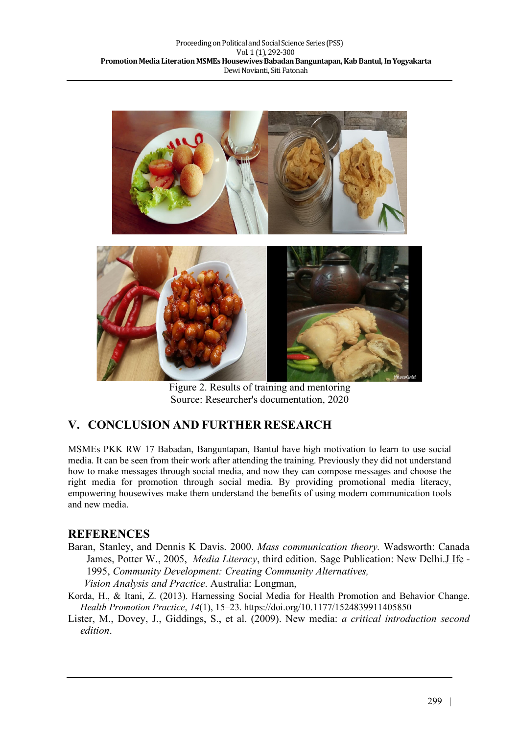

Figure 2. Results of training and mentoring Source: Researcher's documentation, 2020

# **V. CONCLUSION AND FURTHER RESEARCH**

MSMEs PKK RW 17 Babadan, Banguntapan, Bantul have high motivation to learn to use social media. It can be seen from their work after attending the training. Previously they did not understand how to make messages through social media, and now they can compose messages and choose the right media for promotion through social media. By providing promotional media literacy, empowering housewives make them understand the benefits of using modern communication tools and new media.

### **REFERENCES**

- Baran, Stanley, and Dennis K Davis. 2000. *Mass communication theory.* Wadsworth: Canada James, Potter W., 2005, *Media Literacy*, third edition. Sage Publication: New Delhi.J Ife - 1995, *Community Development: Creating Community Alternatives, Vision Analysis and Practice*. Australia: Longman,
- Korda, H., & Itani, Z. (2013). Harnessing Social Media for Health Promotion and Behavior Change. *Health Promotion Practice*, *14*(1), 15–23. https://doi.org/10.1177/1524839911405850
- Lister, M., Dovey, J., Giddings, S., et al. (2009). New media: *a critical introduction second edition*.